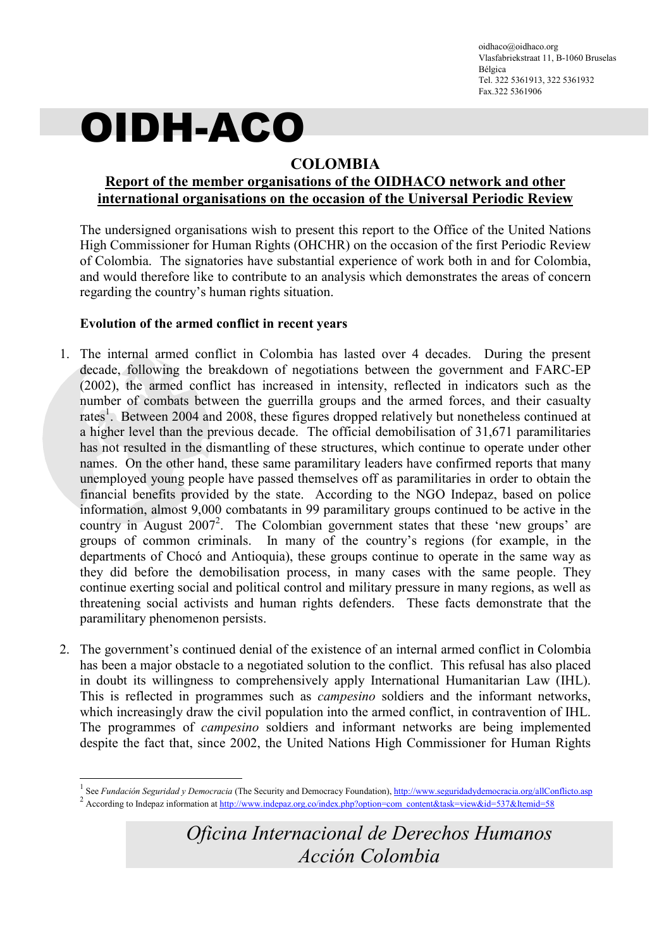oidhaco@oidhaco.org Vlasfabriekstraat 11, B-1060 Bruselas Bélgica Tel. 322 5361913, 322 5361932 Fax.322 5361906

# OIDH-ACO

### COLOMBIA

#### Report of the member organisations of the OIDHACO network and other international organisations on the occasion of the Universal Periodic Review

The undersigned organisations wish to present this report to the Office of the United Nations High Commissioner for Human Rights (OHCHR) on the occasion of the first Periodic Review of Colombia. The signatories have substantial experience of work both in and for Colombia, and would therefore like to contribute to an analysis which demonstrates the areas of concern regarding the country's human rights situation.

#### Evolution of the armed conflict in recent years

-

- 1. The internal armed conflict in Colombia has lasted over 4 decades. During the present decade, following the breakdown of negotiations between the government and FARC-EP (2002), the armed conflict has increased in intensity, reflected in indicators such as the number of combats between the guerrilla groups and the armed forces, and their casualty rates<sup>1</sup>. Between 2004 and 2008, these figures dropped relatively but nonetheless continued at a higher level than the previous decade. The official demobilisation of 31,671 paramilitaries has not resulted in the dismantling of these structures, which continue to operate under other names. On the other hand, these same paramilitary leaders have confirmed reports that many unemployed young people have passed themselves off as paramilitaries in order to obtain the financial benefits provided by the state. According to the NGO Indepaz, based on police information, almost 9,000 combatants in 99 paramilitary groups continued to be active in the country in August 2007<sup>2</sup>. The Colombian government states that these 'new groups' are groups of common criminals. In many of the country's regions (for example, in the departments of Chocó and Antioquia), these groups continue to operate in the same way as they did before the demobilisation process, in many cases with the same people. They continue exerting social and political control and military pressure in many regions, as well as threatening social activists and human rights defenders. These facts demonstrate that the paramilitary phenomenon persists.
- 2. The government's continued denial of the existence of an internal armed conflict in Colombia has been a major obstacle to a negotiated solution to the conflict. This refusal has also placed in doubt its willingness to comprehensively apply International Humanitarian Law (IHL). This is reflected in programmes such as campesino soldiers and the informant networks, which increasingly draw the civil population into the armed conflict, in contravention of IHL. The programmes of campesino soldiers and informant networks are being implemented despite the fact that, since 2002, the United Nations High Commissioner for Human Rights

<sup>1</sup> See Fundación Seguridad y Democracia (The Security and Democracy Foundation), http://www.seguridadydemocracia.org/allConflicto.asp <sup>2</sup> According to Indepaz information at http://www.indepaz.org.co/index.php?option=com\_content&task=view&id=537&Itemid=58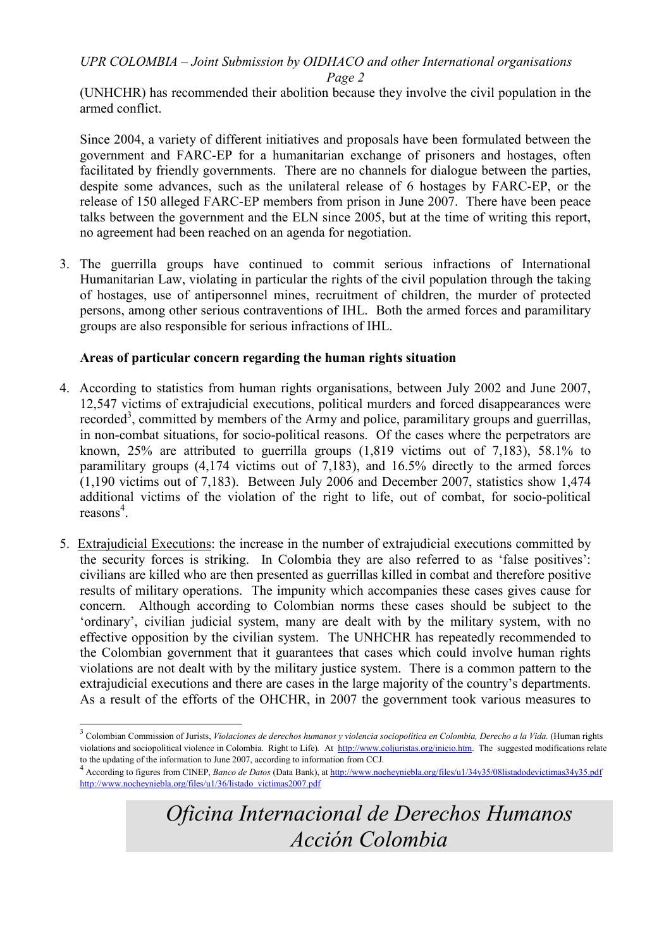Page 2

(UNHCHR) has recommended their abolition because they involve the civil population in the armed conflict.

Since 2004, a variety of different initiatives and proposals have been formulated between the government and FARC-EP for a humanitarian exchange of prisoners and hostages, often facilitated by friendly governments. There are no channels for dialogue between the parties, despite some advances, such as the unilateral release of 6 hostages by FARC-EP, or the release of 150 alleged FARC-EP members from prison in June 2007. There have been peace talks between the government and the ELN since 2005, but at the time of writing this report, no agreement had been reached on an agenda for negotiation.

3. The guerrilla groups have continued to commit serious infractions of International Humanitarian Law, violating in particular the rights of the civil population through the taking of hostages, use of antipersonnel mines, recruitment of children, the murder of protected persons, among other serious contraventions of IHL. Both the armed forces and paramilitary groups are also responsible for serious infractions of IHL.

#### Areas of particular concern regarding the human rights situation

-

- 4. According to statistics from human rights organisations, between July 2002 and June 2007, 12,547 victims of extrajudicial executions, political murders and forced disappearances were recorded<sup>3</sup>, committed by members of the Army and police, paramilitary groups and guerrillas, in non-combat situations, for socio-political reasons. Of the cases where the perpetrators are known, 25% are attributed to guerrilla groups (1,819 victims out of 7,183), 58.1% to paramilitary groups (4,174 victims out of 7,183), and 16.5% directly to the armed forces (1,190 victims out of 7,183). Between July 2006 and December 2007, statistics show 1,474 additional victims of the violation of the right to life, out of combat, for socio-political reasons<sup>4</sup>.
- 5. Extrajudicial Executions: the increase in the number of extrajudicial executions committed by the security forces is striking. In Colombia they are also referred to as 'false positives': civilians are killed who are then presented as guerrillas killed in combat and therefore positive results of military operations. The impunity which accompanies these cases gives cause for concern. Although according to Colombian norms these cases should be subject to the 'ordinary', civilian judicial system, many are dealt with by the military system, with no effective opposition by the civilian system. The UNHCHR has repeatedly recommended to the Colombian government that it guarantees that cases which could involve human rights violations are not dealt with by the military justice system. There is a common pattern to the extrajudicial executions and there are cases in the large majority of the country's departments. As a result of the efforts of the OHCHR, in 2007 the government took various measures to

 $3$  Colombian Commission of Jurists, Violaciones de derechos humanos y violencia sociopolítica en Colombia, Derecho a la Vida. (Human rights violations and sociopolitical violence in Colombia. Right to Life). At http://www.coljuristas.org/inicio.htm. The suggested modifications relate to the updating of the information to June 2007, according to information from CCJ.

<sup>4</sup> According to figures from CINEP, Banco de Datos (Data Bank), at http://www.nocheyniebla.org/files/u1/34y35/08listadodevictimas34y35.pdf http://www.nocheyniebla.org/files/u1/36/listado\_victimas2007.pdf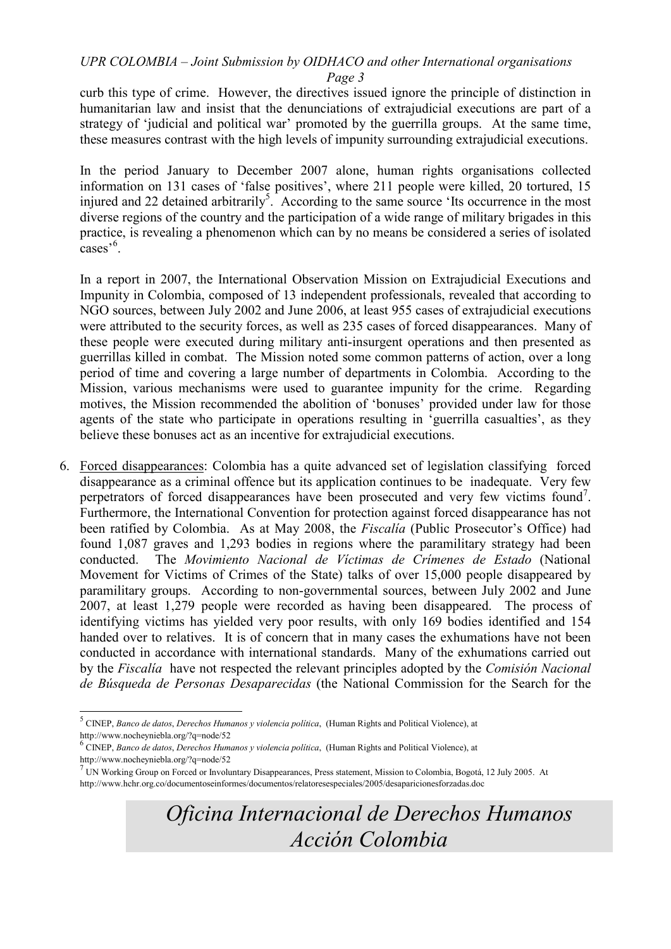curb this type of crime. However, the directives issued ignore the principle of distinction in humanitarian law and insist that the denunciations of extrajudicial executions are part of a strategy of 'judicial and political war' promoted by the guerrilla groups. At the same time, these measures contrast with the high levels of impunity surrounding extrajudicial executions.

In the period January to December 2007 alone, human rights organisations collected information on 131 cases of 'false positives', where 211 people were killed, 20 tortured, 15 injured and 22 detained arbitrarily<sup>5</sup>. According to the same source 'Its occurrence in the most diverse regions of the country and the participation of a wide range of military brigades in this practice, is revealing a phenomenon which can by no means be considered a series of isolated cases<sup>'6</sup>.

In a report in 2007, the International Observation Mission on Extrajudicial Executions and Impunity in Colombia, composed of 13 independent professionals, revealed that according to NGO sources, between July 2002 and June 2006, at least 955 cases of extrajudicial executions were attributed to the security forces, as well as 235 cases of forced disappearances. Many of these people were executed during military anti-insurgent operations and then presented as guerrillas killed in combat. The Mission noted some common patterns of action, over a long period of time and covering a large number of departments in Colombia. According to the Mission, various mechanisms were used to guarantee impunity for the crime. Regarding motives, the Mission recommended the abolition of 'bonuses' provided under law for those agents of the state who participate in operations resulting in 'guerrilla casualties', as they believe these bonuses act as an incentive for extrajudicial executions.

6. Forced disappearances: Colombia has a quite advanced set of legislation classifying forced disappearance as a criminal offence but its application continues to be inadequate. Very few perpetrators of forced disappearances have been prosecuted and very few victims found<sup>7</sup>. Furthermore, the International Convention for protection against forced disappearance has not been ratified by Colombia. As at May 2008, the Fiscalía (Public Prosecutor's Office) had found 1,087 graves and 1,293 bodies in regions where the paramilitary strategy had been conducted. The Movimiento Nacional de Víctimas de Crímenes de Estado (National Movement for Victims of Crimes of the State) talks of over 15,000 people disappeared by paramilitary groups. According to non-governmental sources, between July 2002 and June 2007, at least 1,279 people were recorded as having been disappeared. The process of identifying victims has yielded very poor results, with only 169 bodies identified and 154 handed over to relatives. It is of concern that in many cases the exhumations have not been conducted in accordance with international standards. Many of the exhumations carried out by the Fiscalía have not respected the relevant principles adopted by the Comisión Nacional de Búsqueda de Personas Desaparecidas (the National Commission for the Search for the

 5 CINEP, Banco de datos, Derechos Humanos y violencia política, (Human Rights and Political Violence), at http://www.nocheyniebla.org/?q=node/52

<sup>&</sup>lt;sup>6</sup> CINEP, Banco de datos, Derechos Humanos y violencia política, (Human Rights and Political Violence), at http://www.nocheyniebla.org/?q=node/52

<sup>&</sup>lt;sup>7</sup> UN Working Group on Forced or Involuntary Disappearances, Press statement, Mission to Colombia, Bogotá, 12 July 2005. At http://www.hchr.org.co/documentoseinformes/documentos/relatoresespeciales/2005/desaparicionesforzadas.doc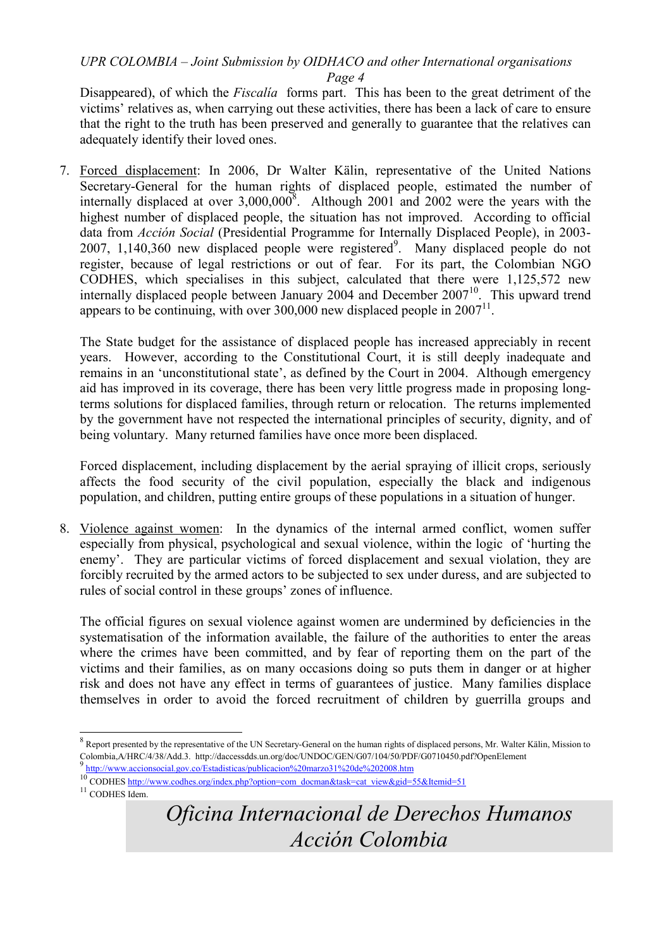Disappeared), of which the *Fiscalia* forms part. This has been to the great detriment of the victims' relatives as, when carrying out these activities, there has been a lack of care to ensure that the right to the truth has been preserved and generally to guarantee that the relatives can adequately identify their loved ones.

7. Forced displacement: In 2006, Dr Walter Kälin, representative of the United Nations Secretary-General for the human rights of displaced people, estimated the number of internally displaced at over  $3,000,000^8$ . Although 2001 and 2002 were the years with the highest number of displaced people, the situation has not improved. According to official data from Acción Social (Presidential Programme for Internally Displaced People), in 2003- 2007,  $1,140,360$  new displaced people were registered<sup>9</sup>. Many displaced people do not register, because of legal restrictions or out of fear. For its part, the Colombian NGO CODHES, which specialises in this subject, calculated that there were 1,125,572 new internally displaced people between January 2004 and December  $2007<sup>10</sup>$ . This upward trend appears to be continuing, with over  $300,000$  new displaced people in  $2007<sup>11</sup>$ .

The State budget for the assistance of displaced people has increased appreciably in recent years. However, according to the Constitutional Court, it is still deeply inadequate and remains in an 'unconstitutional state', as defined by the Court in 2004. Although emergency aid has improved in its coverage, there has been very little progress made in proposing longterms solutions for displaced families, through return or relocation. The returns implemented by the government have not respected the international principles of security, dignity, and of being voluntary. Many returned families have once more been displaced.

Forced displacement, including displacement by the aerial spraying of illicit crops, seriously affects the food security of the civil population, especially the black and indigenous population, and children, putting entire groups of these populations in a situation of hunger.

8. Violence against women: In the dynamics of the internal armed conflict, women suffer especially from physical, psychological and sexual violence, within the logic of 'hurting the enemy'. They are particular victims of forced displacement and sexual violation, they are forcibly recruited by the armed actors to be subjected to sex under duress, and are subjected to rules of social control in these groups' zones of influence.

The official figures on sexual violence against women are undermined by deficiencies in the systematisation of the information available, the failure of the authorities to enter the areas where the crimes have been committed, and by fear of reporting them on the part of the victims and their families, as on many occasions doing so puts them in danger or at higher risk and does not have any effect in terms of guarantees of justice. Many families displace themselves in order to avoid the forced recruitment of children by guerrilla groups and

-

<sup>&</sup>lt;sup>8</sup> Report presented by the representative of the UN Secretary-General on the human rights of displaced persons, Mr. Walter Kälin, Mission to Colombia,A/HRC/4/38/Add.3. http://daccessdds.un.org/doc/UNDOC/GEN/G07/104/50/PDF/G0710450.pdf?OpenElement 9

http://www.accionsocial.gov.co/Estadisticas/publicacion%20marzo31%20de%202008.htm

<sup>10</sup> CODHES http://www.codhes.org/index.php?option=com\_docman&task=cat\_view&gid=55&Itemid=51

 $11$  CODHES Idem.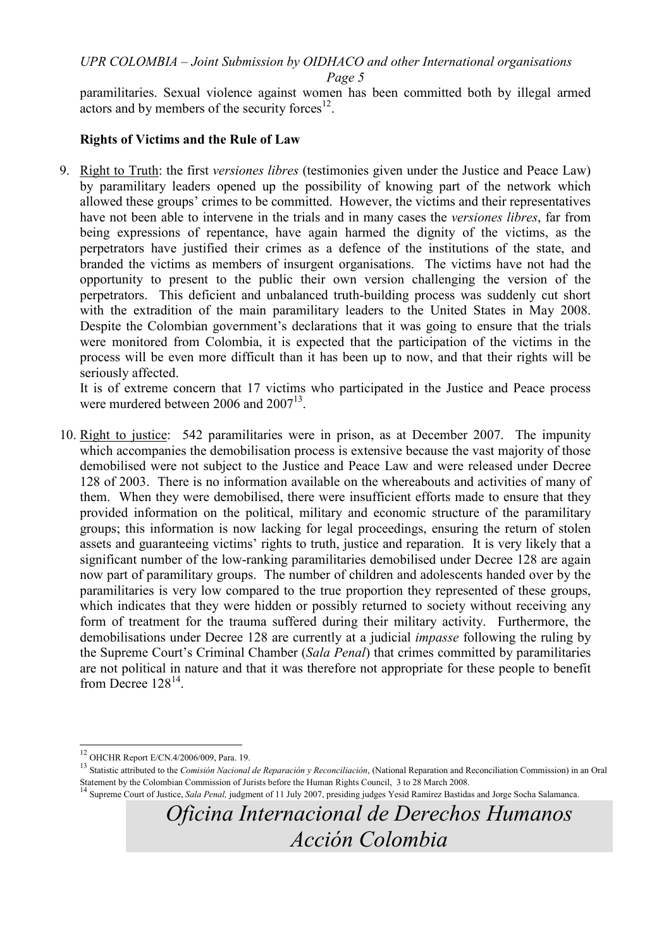Page 5

paramilitaries. Sexual violence against women has been committed both by illegal armed  $\frac{1}{2}$  actors and by members of the security forces<sup>12</sup>.

#### Rights of Victims and the Rule of Law

9. Right to Truth: the first versiones libres (testimonies given under the Justice and Peace Law) by paramilitary leaders opened up the possibility of knowing part of the network which allowed these groups' crimes to be committed. However, the victims and their representatives have not been able to intervene in the trials and in many cases the versiones libres, far from being expressions of repentance, have again harmed the dignity of the victims, as the perpetrators have justified their crimes as a defence of the institutions of the state, and branded the victims as members of insurgent organisations. The victims have not had the opportunity to present to the public their own version challenging the version of the perpetrators. This deficient and unbalanced truth-building process was suddenly cut short with the extradition of the main paramilitary leaders to the United States in May 2008. Despite the Colombian government's declarations that it was going to ensure that the trials were monitored from Colombia, it is expected that the participation of the victims in the process will be even more difficult than it has been up to now, and that their rights will be seriously affected.

It is of extreme concern that 17 victims who participated in the Justice and Peace process were murdered between 2006 and  $2007^{13}$ .

10. Right to justice: 542 paramilitaries were in prison, as at December 2007. The impunity which accompanies the demobilisation process is extensive because the vast majority of those demobilised were not subject to the Justice and Peace Law and were released under Decree 128 of 2003. There is no information available on the whereabouts and activities of many of them. When they were demobilised, there were insufficient efforts made to ensure that they provided information on the political, military and economic structure of the paramilitary groups; this information is now lacking for legal proceedings, ensuring the return of stolen assets and guaranteeing victims' rights to truth, justice and reparation. It is very likely that a significant number of the low-ranking paramilitaries demobilised under Decree 128 are again now part of paramilitary groups. The number of children and adolescents handed over by the paramilitaries is very low compared to the true proportion they represented of these groups, which indicates that they were hidden or possibly returned to society without receiving any form of treatment for the trauma suffered during their military activity. Furthermore, the demobilisations under Decree 128 are currently at a judicial impasse following the ruling by the Supreme Court's Criminal Chamber (Sala Penal) that crimes committed by paramilitaries are not political in nature and that it was therefore not appropriate for these people to benefit from Decree  $128^{14}$ .

<sup>-</sup><sup>12</sup> OHCHR Report E/CN.4/2006/009, Para. 19.

<sup>&</sup>lt;sup>13</sup> Statistic attributed to the Comisión Nacional de Reparación y Reconciliación, (National Reparation and Reconciliation Commission) in an Oral Statement by the Colombian Commission of Jurists before the Human Rights Council, 3 to 28 March 2008.

<sup>&</sup>lt;sup>14</sup> Supreme Court of Justice, Sala Penal, judgment of 11 July 2007, presiding judges Yesid Ramírez Bastidas and Jorge Socha Salamanca.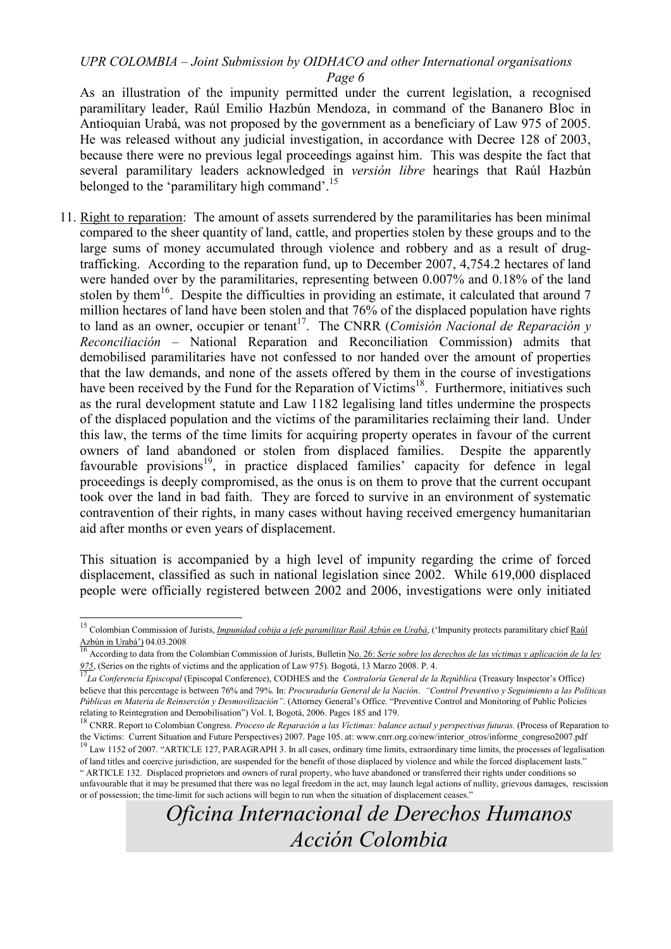Page 6

As an illustration of the impunity permitted under the current legislation, a recognised paramilitary leader, Raúl Emilio Hazbún Mendoza, in command of the Bananero Bloc in Antioquian Urabá, was not proposed by the government as a beneficiary of Law 975 of 2005. He was released without any judicial investigation, in accordance with Decree 128 of 2003, because there were no previous legal proceedings against him. This was despite the fact that several paramilitary leaders acknowledged in versión libre hearings that Raúl Hazbún belonged to the 'paramilitary high command'.<sup>15</sup>

11. Right to reparation: The amount of assets surrendered by the paramilitaries has been minimal compared to the sheer quantity of land, cattle, and properties stolen by these groups and to the large sums of money accumulated through violence and robbery and as a result of drugtrafficking. According to the reparation fund, up to December 2007, 4,754.2 hectares of land were handed over by the paramilitaries, representing between 0.007% and 0.18% of the land stolen by them<sup>16</sup>. Despite the difficulties in providing an estimate, it calculated that around 7 million hectares of land have been stolen and that 76% of the displaced population have rights to land as an owner, occupier or tenant<sup>17</sup>. The CNRR (*Comisión Nacional de Reparación y* Reconciliación – National Reparation and Reconciliation Commission) admits that demobilised paramilitaries have not confessed to nor handed over the amount of properties that the law demands, and none of the assets offered by them in the course of investigations have been received by the Fund for the Reparation of Victims<sup>18</sup>. Furthermore, initiatives such as the rural development statute and Law 1182 legalising land titles undermine the prospects of the displaced population and the victims of the paramilitaries reclaiming their land. Under this law, the terms of the time limits for acquiring property operates in favour of the current owners of land abandoned or stolen from displaced families. Despite the apparently favourable provisions<sup>19</sup>, in practice displaced families' capacity for defence in legal proceedings is deeply compromised, as the onus is on them to prove that the current occupant took over the land in bad faith. They are forced to survive in an environment of systematic contravention of their rights, in many cases without having received emergency humanitarian aid after months or even years of displacement.

This situation is accompanied by a high level of impunity regarding the crime of forced displacement, classified as such in national legislation since 2002. While 619,000 displaced people were officially registered between 2002 and 2006, investigations were only initiated

1

<sup>&</sup>lt;sup>15</sup> Colombian Commission of Jurists, *Impunidad cobija a jefe paramilitar Raúl Azbún en Urabá*, ('Impunity protects paramilitary chief Raúl

Azbún in Urabá') 04.03.2008<br><sup>16</sup> According to data from the Colombian Commission of Jurists, Bulletin <u>No. 26: Serie sobre los derechos de las víctimas y aplicación de la ley</u>

<sup>975, (</sup>Series on the rights of victims and the application of Law 975). Bogotá, 13 Marzo 2008. P. 4.<br><sup>17</sup>La Conferencia Episcopal (Episcopal Conference), CODHES and the *Contraloría General de la República* (Treasury Inspe believe that this percentage is between 76% and 79%. In: Procuraduría General de la Nación. "Control Preventivo y Seguimiento a las Políticas Públicas en Materia de Reinserción y Desmovilización". (Attorney General's Office. "Preventive Control and Monitoring of Public Policies relating to Reintegration and Demobilisation") Vol. I, Bogotá, 2006. Pages 185 and 179.

 $18$  CNRR. Report to Colombian Congress. Proceso de Reparación a las Víctimas: balance actual y perspectivas futuras. (Process of Reparation to the Victims: Current Situation and Future Perspectives) 2007. Page 105. at: www.cnrr.org.co/new/interior\_otros/informe\_congreso2007.pdf

 $\mu$  Law 1152 of 2007. "ARTICLE 127, PARAGRAPH 3. In all cases, ordinary time limits, extraordinary time limits, the processes of legalisation of land titles and coercive jurisdiction, are suspended for the benefit of those displaced by violence and while the forced displacement lasts." " ARTICLE 132. Displaced proprietors and owners of rural property, who have abandoned or transferred their rights under conditions so unfavourable that it may be presumed that there was no legal freedom in the act, may launch legal actions of nullity, grievous damages, rescission or of possession; the time-limit for such actions will begin to run when the situation of displacement ceases."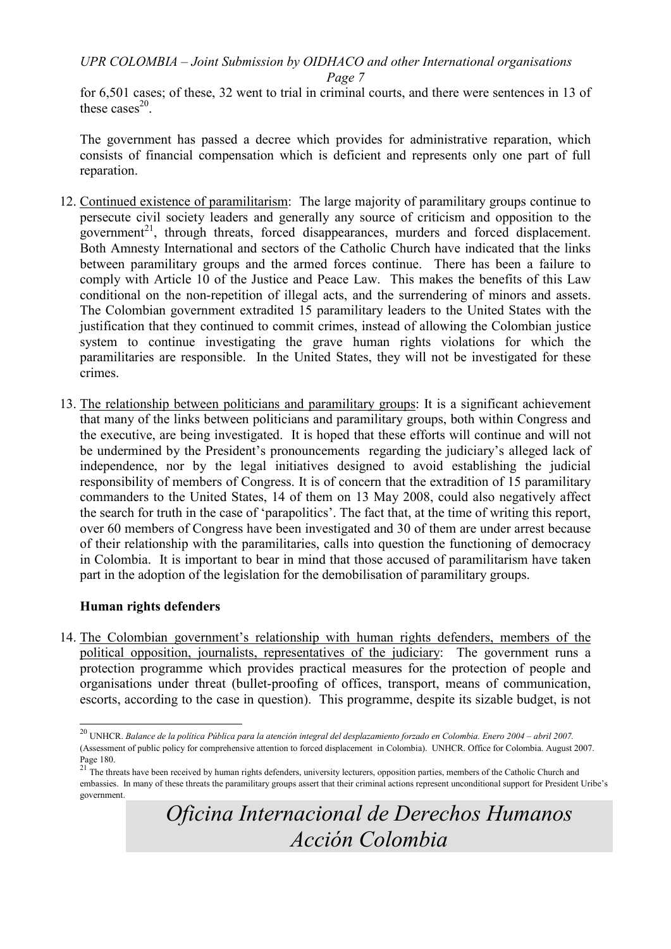for 6,501 cases; of these, 32 went to trial in criminal courts, and there were sentences in 13 of these cases $^{20}$ .

The government has passed a decree which provides for administrative reparation, which consists of financial compensation which is deficient and represents only one part of full reparation.

- 12. Continued existence of paramilitarism: The large majority of paramilitary groups continue to persecute civil society leaders and generally any source of criticism and opposition to the government<sup>21</sup>, through threats, forced disappearances, murders and forced displacement. Both Amnesty International and sectors of the Catholic Church have indicated that the links between paramilitary groups and the armed forces continue. There has been a failure to comply with Article 10 of the Justice and Peace Law. This makes the benefits of this Law conditional on the non-repetition of illegal acts, and the surrendering of minors and assets. The Colombian government extradited 15 paramilitary leaders to the United States with the justification that they continued to commit crimes, instead of allowing the Colombian justice system to continue investigating the grave human rights violations for which the paramilitaries are responsible. In the United States, they will not be investigated for these crimes.
- 13. The relationship between politicians and paramilitary groups: It is a significant achievement that many of the links between politicians and paramilitary groups, both within Congress and the executive, are being investigated. It is hoped that these efforts will continue and will not be undermined by the President's pronouncements regarding the judiciary's alleged lack of independence, nor by the legal initiatives designed to avoid establishing the judicial responsibility of members of Congress. It is of concern that the extradition of 15 paramilitary commanders to the United States, 14 of them on 13 May 2008, could also negatively affect the search for truth in the case of 'parapolitics'. The fact that, at the time of writing this report, over 60 members of Congress have been investigated and 30 of them are under arrest because of their relationship with the paramilitaries, calls into question the functioning of democracy in Colombia. It is important to bear in mind that those accused of paramilitarism have taken part in the adoption of the legislation for the demobilisation of paramilitary groups.

#### Human rights defenders

-

14. The Colombian government's relationship with human rights defenders, members of the political opposition, journalists, representatives of the judiciary: The government runs a protection programme which provides practical measures for the protection of people and organisations under threat (bullet-proofing of offices, transport, means of communication, escorts, according to the case in question). This programme, despite its sizable budget, is not

 $^{20}$  UNHCR. Balance de la política Pública para la atención integral del desplazamiento forzado en Colombia. Enero 2004 – abril 2007. (Assessment of public policy for comprehensive attention to forced displacement in Colombia). UNHCR. Office for Colombia. August 2007.

Page 180.<br><sup>21</sup> The threats have been received by human rights defenders, university lecturers, opposition parties, members of the Catholic Church and embassies. In many of these threats the paramilitary groups assert that their criminal actions represent unconditional support for President Uribe's government.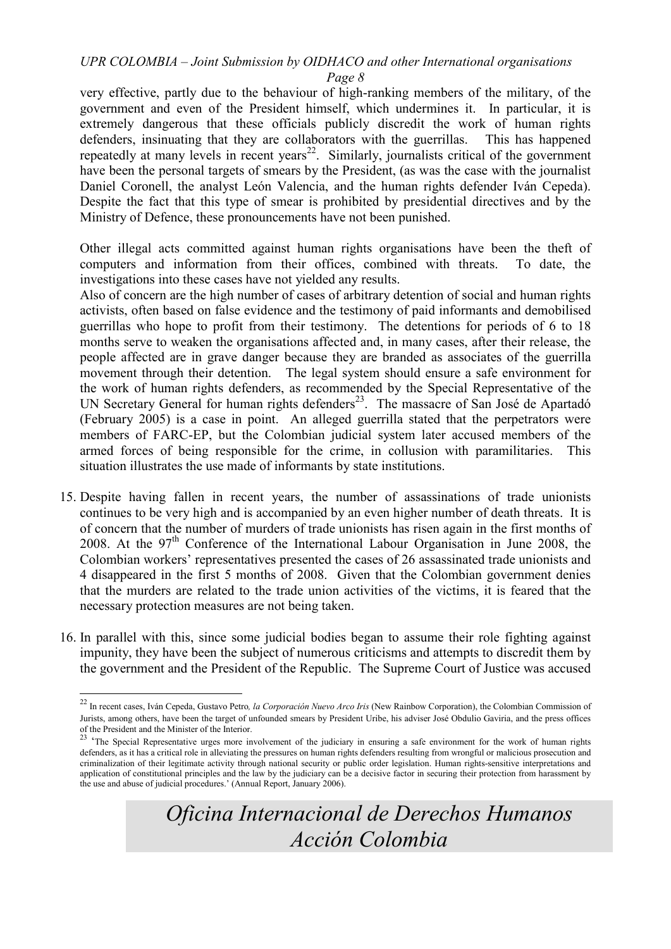Page 8

very effective, partly due to the behaviour of high-ranking members of the military, of the government and even of the President himself, which undermines it. In particular, it is extremely dangerous that these officials publicly discredit the work of human rights defenders, insinuating that they are collaborators with the guerrillas. This has happened repeatedly at many levels in recent years<sup>22</sup>. Similarly, journalists critical of the government have been the personal targets of smears by the President, (as was the case with the journalist Daniel Coronell, the analyst León Valencia, and the human rights defender Iván Cepeda). Despite the fact that this type of smear is prohibited by presidential directives and by the Ministry of Defence, these pronouncements have not been punished.

Other illegal acts committed against human rights organisations have been the theft of computers and information from their offices, combined with threats. To date, the investigations into these cases have not yielded any results.

Also of concern are the high number of cases of arbitrary detention of social and human rights activists, often based on false evidence and the testimony of paid informants and demobilised guerrillas who hope to profit from their testimony. The detentions for periods of 6 to 18 months serve to weaken the organisations affected and, in many cases, after their release, the people affected are in grave danger because they are branded as associates of the guerrilla movement through their detention. The legal system should ensure a safe environment for the work of human rights defenders, as recommended by the Special Representative of the UN Secretary General for human rights defenders<sup>23</sup>. The massacre of San José de Apartadó (February 2005) is a case in point. An alleged guerrilla stated that the perpetrators were members of FARC-EP, but the Colombian judicial system later accused members of the armed forces of being responsible for the crime, in collusion with paramilitaries. This situation illustrates the use made of informants by state institutions.

- 15. Despite having fallen in recent years, the number of assassinations of trade unionists continues to be very high and is accompanied by an even higher number of death threats. It is of concern that the number of murders of trade unionists has risen again in the first months of 2008. At the  $97<sup>th</sup>$  Conference of the International Labour Organisation in June 2008, the Colombian workers' representatives presented the cases of 26 assassinated trade unionists and 4 disappeared in the first 5 months of 2008. Given that the Colombian government denies that the murders are related to the trade union activities of the victims, it is feared that the necessary protection measures are not being taken.
- 16. In parallel with this, since some judicial bodies began to assume their role fighting against impunity, they have been the subject of numerous criticisms and attempts to discredit them by the government and the President of the Republic. The Supreme Court of Justice was accused

-

<sup>&</sup>lt;sup>22</sup> In recent cases, Iván Cepeda, Gustavo Petro, la Corporación Nuevo Arco Iris (New Rainbow Corporation), the Colombian Commission of Jurists, among others, have been the target of unfounded smears by President Uribe, his adviser José Obdulio Gaviria, and the press offices

of the President and the Minister of the Interior.<br><sup>23</sup> 'The Special Representative urges more involvement of the judiciary in ensuring a safe environment for the work of human rights defenders, as it has a critical role in alleviating the pressures on human rights defenders resulting from wrongful or malicious prosecution and criminalization of their legitimate activity through national security or public order legislation. Human rights-sensitive interpretations and application of constitutional principles and the law by the judiciary can be a decisive factor in securing their protection from harassment by the use and abuse of judicial procedures.' (Annual Report, January 2006).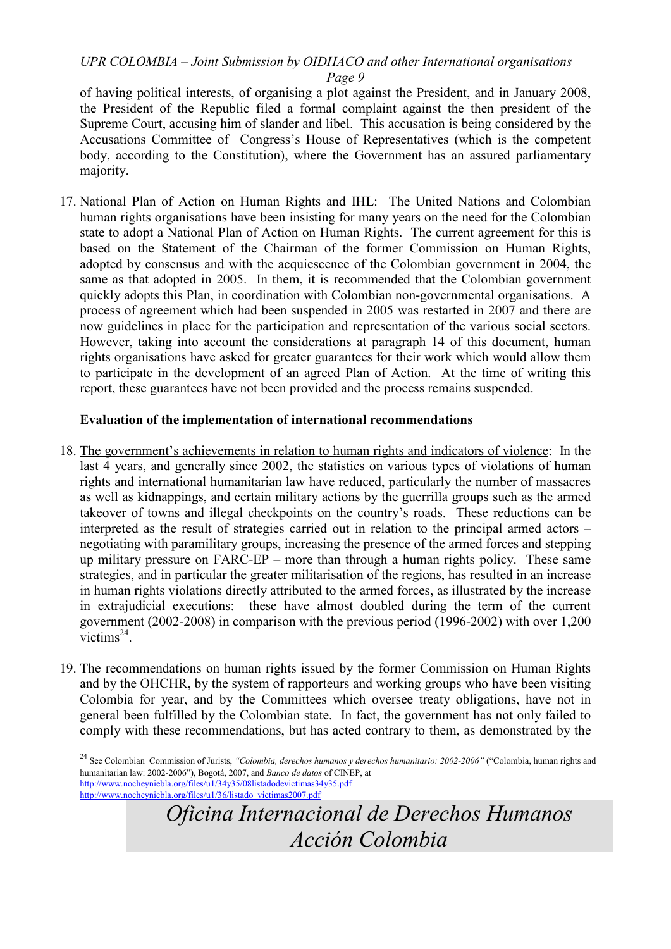of having political interests, of organising a plot against the President, and in January 2008, the President of the Republic filed a formal complaint against the then president of the Supreme Court, accusing him of slander and libel. This accusation is being considered by the Accusations Committee of Congress's House of Representatives (which is the competent body, according to the Constitution), where the Government has an assured parliamentary majority.

17. National Plan of Action on Human Rights and IHL: The United Nations and Colombian human rights organisations have been insisting for many years on the need for the Colombian state to adopt a National Plan of Action on Human Rights. The current agreement for this is based on the Statement of the Chairman of the former Commission on Human Rights, adopted by consensus and with the acquiescence of the Colombian government in 2004, the same as that adopted in 2005. In them, it is recommended that the Colombian government quickly adopts this Plan, in coordination with Colombian non-governmental organisations. A process of agreement which had been suspended in 2005 was restarted in 2007 and there are now guidelines in place for the participation and representation of the various social sectors. However, taking into account the considerations at paragraph 14 of this document, human rights organisations have asked for greater guarantees for their work which would allow them to participate in the development of an agreed Plan of Action. At the time of writing this report, these guarantees have not been provided and the process remains suspended.

#### Evaluation of the implementation of international recommendations

- 18. The government's achievements in relation to human rights and indicators of violence: In the last 4 years, and generally since 2002, the statistics on various types of violations of human rights and international humanitarian law have reduced, particularly the number of massacres as well as kidnappings, and certain military actions by the guerrilla groups such as the armed takeover of towns and illegal checkpoints on the country's roads. These reductions can be interpreted as the result of strategies carried out in relation to the principal armed actors – negotiating with paramilitary groups, increasing the presence of the armed forces and stepping up military pressure on FARC-EP – more than through a human rights policy. These same strategies, and in particular the greater militarisation of the regions, has resulted in an increase in human rights violations directly attributed to the armed forces, as illustrated by the increase in extrajudicial executions: these have almost doubled during the term of the current government (2002-2008) in comparison with the previous period (1996-2002) with over 1,200  $victims<sup>24</sup>$ .
- 19. The recommendations on human rights issued by the former Commission on Human Rights and by the OHCHR, by the system of rapporteurs and working groups who have been visiting Colombia for year, and by the Committees which oversee treaty obligations, have not in general been fulfilled by the Colombian state. In fact, the government has not only failed to comply with these recommendations, but has acted contrary to them, as demonstrated by the

-

<sup>&</sup>lt;sup>24</sup> See Colombian Commission of Jurists, "Colombia, derechos humanos y derechos humanitario: 2002-2006" ("Colombia, human rights and humanitarian law: 2002-2006"), Bogotá, 2007, and Banco de datos of CINEP, at http://www.nocheyniebla.org/files/u1/34y35/08listadodevictimas34y35.pdf

http://www.nocheyniebla.org/files/u1/36/listado\_victimas2007.pdf